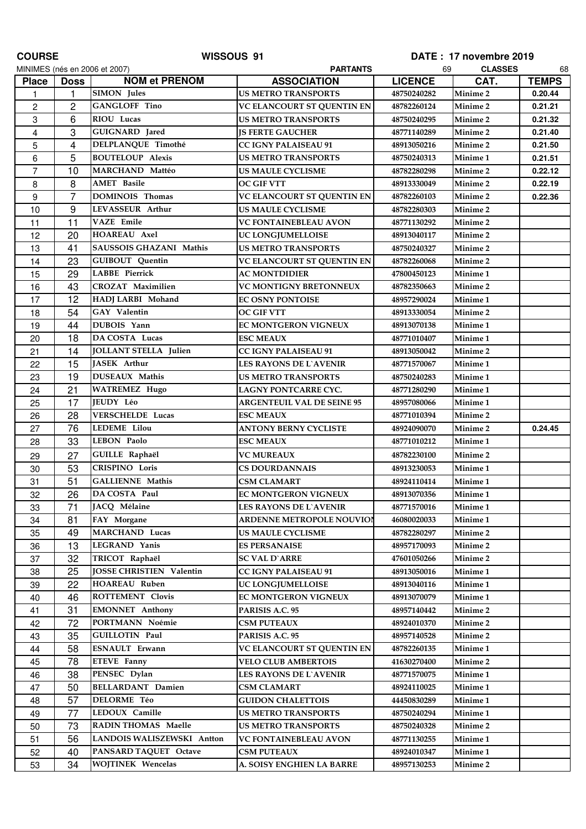| <b>COURSE</b>  |                | WISSOUS 91                     |                                   |                | DATE: 17 novembre 2019 |              |
|----------------|----------------|--------------------------------|-----------------------------------|----------------|------------------------|--------------|
|                |                | MINIMES (nés en 2006 et 2007)  | <b>PARTANTS</b>                   | 69             | <b>CLASSES</b>         | 68           |
| <b>Place</b>   | <b>Doss</b>    | <b>NOM et PRENOM</b>           | <b>ASSOCIATION</b>                | <b>LICENCE</b> | CAT.                   | <b>TEMPS</b> |
| 1              | 1              | <b>SIMON</b> Jules             | <b>US METRO TRANSPORTS</b>        | 48750240282    | Minime <sub>2</sub>    | 0.20.44      |
| $\overline{c}$ | $\overline{c}$ | <b>GANGLOFF Tino</b>           | <b>VC ELANCOURT ST QUENTIN EN</b> | 48782260124    | <b>Minime 2</b>        | 0.21.21      |
| $\,3$          | 6              | RIOU Lucas                     | <b>US METRO TRANSPORTS</b>        | 48750240295    | Minime <sub>2</sub>    | 0.21.32      |
| 4              | 3              | GUIGNARD Jared                 | <b>JS FERTE GAUCHER</b>           | 48771140289    | <b>Minime 2</b>        | 0.21.40      |
| 5              | 4              | DELPLANQUE Timothé             | <b>CC IGNY PALAISEAU 91</b>       | 48913050216    | <b>Minime 2</b>        | 0.21.50      |
| 6              | 5              | <b>BOUTELOUP Alexis</b>        | <b>US METRO TRANSPORTS</b>        | 48750240313    | Minime 1               | 0.21.51      |
| $\overline{7}$ | 10             | MARCHAND Mattéo                | US MAULE CYCLISME                 | 48782280298    | <b>Minime 2</b>        | 0.22.12      |
| 8              | 8              | <b>AMET</b> Basile             | <b>OC GIF VTT</b>                 | 48913330049    | <b>Minime 2</b>        | 0.22.19      |
| 9              | 7              | <b>DOMINOIS Thomas</b>         | VC ELANCOURT ST QUENTIN EN        | 48782260103    | <b>Minime 2</b>        | 0.22.36      |
| 10             | 9              | <b>LEVASSEUR Arthur</b>        | <b>US MAULE CYCLISME</b>          | 48782280303    | <b>Minime 2</b>        |              |
| 11             | 11             | <b>VAZE</b> Emile              | <b>VC FONTAINEBLEAU AVON</b>      | 48771130292    | <b>Minime 2</b>        |              |
| 12             | 20             | <b>HOAREAU Axel</b>            | UC LONGJUMELLOISE                 | 48913040117    | <b>Minime 2</b>        |              |
| 13             | 41             | <b>SAUSSOIS GHAZANI Mathis</b> | <b>US METRO TRANSPORTS</b>        | 48750240327    | <b>Minime 2</b>        |              |
| 14             | 23             | <b>GUIBOUT</b> Quentin         | VC ELANCOURT ST QUENTIN EN        | 48782260068    | Minime 2               |              |
| 15             | 29             | <b>LABBE</b> Pierrick          | <b>AC MONTDIDIER</b>              | 47800450123    | Minime 1               |              |
| 16             | 43             | <b>CROZAT</b> Maximilien       | <b>VC MONTIGNY BRETONNEUX</b>     | 48782350663    | <b>Minime 2</b>        |              |
| 17             | 12             | HADJ LARBI Mohand              | <b>EC OSNY PONTOISE</b>           | 48957290024    | Minime 1               |              |
| 18             | 54             | <b>GAY</b> Valentin            | <b>OC GIF VTT</b>                 | 48913330054    | <b>Minime 2</b>        |              |
| 19             | 44             | DUBOIS Yann                    | EC MONTGERON VIGNEUX              | 48913070138    | Minime 1               |              |
| 20             | 18             | DA COSTA Lucas                 | <b>ESC MEAUX</b>                  | 48771010407    | Minime 1               |              |
| 21             | 14             | <b>JOLLANT STELLA Julien</b>   | <b>CC IGNY PALAISEAU 91</b>       | 48913050042    | <b>Minime 2</b>        |              |
| 22             | 15             | JASEK Arthur                   | <b>LES RAYONS DE L`AVENIR</b>     | 48771570067    | Minime 1               |              |
| 23             | 19             | <b>DUSEAUX Mathis</b>          | <b>US METRO TRANSPORTS</b>        | 48750240283    | Minime 1               |              |
| 24             | 21             | <b>WATREMEZ Hugo</b>           | <b>LAGNY PONTCARRE CYC.</b>       | 48771280290    | Minime 1               |              |
| 25             | 17             | <b>JEUDY Léo</b>               | <b>ARGENTEUIL VAL DE SEINE 95</b> | 48957080066    | Minime 1               |              |
| 26             | 28             | <b>VERSCHELDE Lucas</b>        | <b>ESC MEAUX</b>                  | 48771010394    | <b>Minime 2</b>        |              |
| 27             | 76             | <b>LEDEME</b> Lilou            | <b>ANTONY BERNY CYCLISTE</b>      | 48924090070    | <b>Minime 2</b>        | 0.24.45      |
| 28             | 33             | <b>LEBON Paolo</b>             | <b>ESC MEAUX</b>                  | 48771010212    | Minime 1               |              |
| 29             | 27             | GUILLE Raphaël                 | <b>VC MUREAUX</b>                 | 48782230100    | Minime 2               |              |
| 30             | 53             | <b>CRISPINO</b> Loris          | <b>CS DOURDANNAIS</b>             | 48913230053    | Minime 1               |              |
| 31             | 51             | <b>GALLIENNE Mathis</b>        | <b>CSM CLAMART</b>                | 48924110414    | Minime 1               |              |
| 32             | 26             | DA COSTA Paul                  | <b>EC MONTGERON VIGNEUX</b>       | 48913070356    | Minime 1               |              |
| 33             | 71             | JACQ Mélaine                   | <b>LES RAYONS DE L`AVENIR</b>     | 48771570016    | Minime 1               |              |
| 34             | 81             | FAY Morgane                    | ARDENNE METROPOLE NOUVIOI         | 46080020033    | Minime 1               |              |
| 35             | 49             | <b>MARCHAND Lucas</b>          | <b>US MAULE CYCLISME</b>          | 48782280297    | Minime <sub>2</sub>    |              |
| 36             | 13             | LEGRAND Yanis                  | <b>ES PERSANAISE</b>              | 48957170093    | <b>Minime 2</b>        |              |
| 37             | 32             | TRICOT Raphaël                 | <b>SC VAL D'ARRE</b>              | 47601050266    | Minime <sub>2</sub>    |              |
| 38             | 25             | JOSSE CHRISTIEN Valentin       | <b>CC IGNY PALAISEAU 91</b>       | 48913050016    | Minime 1               |              |
| 39             | 22             | <b>HOAREAU Ruben</b>           | UC LONGJUMELLOISE                 | 48913040116    | Minime 1               |              |
| 40             | 46             | <b>ROTTEMENT Clovis</b>        | <b>EC MONTGERON VIGNEUX</b>       | 48913070079    | Minime 1               |              |
| 41             | 31             | <b>EMONNET Anthony</b>         | PARISIS A.C. 95                   | 48957140442    | Minime 2               |              |
| 42             | 72             | PORTMANN Noémie                | <b>CSM PUTEAUX</b>                | 48924010370    | <b>Minime 2</b>        |              |
| 43             | 35             | <b>GUILLOTIN Paul</b>          | PARISIS A.C. 95                   | 48957140528    | Minime 2               |              |
| 44             | 58             | <b>ESNAULT</b> Erwann          | VC ELANCOURT ST QUENTIN EN        | 48782260135    | Minime 1               |              |
| 45             | 78             | <b>ETEVE</b> Fanny             | <b>VELO CLUB AMBERTOIS</b>        | 41630270400    | Minime <sub>2</sub>    |              |
| 46             | 38             | PENSEC Dylan                   | LES RAYONS DE L'AVENIR            | 48771570075    | Minime 1               |              |
| 47             | 50             | <b>BELLARDANT Damien</b>       | <b>CSM CLAMART</b>                | 48924110025    | Minime 1               |              |
| 48             | 57             | <b>DELORME Téo</b>             | <b>GUIDON CHALETTOIS</b>          | 44450830289    | Minime 1               |              |
| 49             | 77             | LEDOUX Camille                 | <b>US METRO TRANSPORTS</b>        | 48750240294    | Minime 1               |              |
| 50             | 73             | <b>RADIN THOMAS Maelle</b>     | <b>US METRO TRANSPORTS</b>        | 48750240328    | <b>Minime 2</b>        |              |
| 51             | 56             | LANDOIS WALISZEWSKI Antton     | <b>VC FONTAINEBLEAU AVON</b>      | 48771130255    | Minime 1               |              |
| 52             | 40             | PANSARD TAQUET Octave          | <b>CSM PUTEAUX</b>                | 48924010347    | Minime 1               |              |
| 53             | 34             | <b>WOJTINEK Wencelas</b>       | A. SOISY ENGHIEN LA BARRE         | 48957130253    | <b>Minime 2</b>        |              |
|                |                |                                |                                   |                |                        |              |